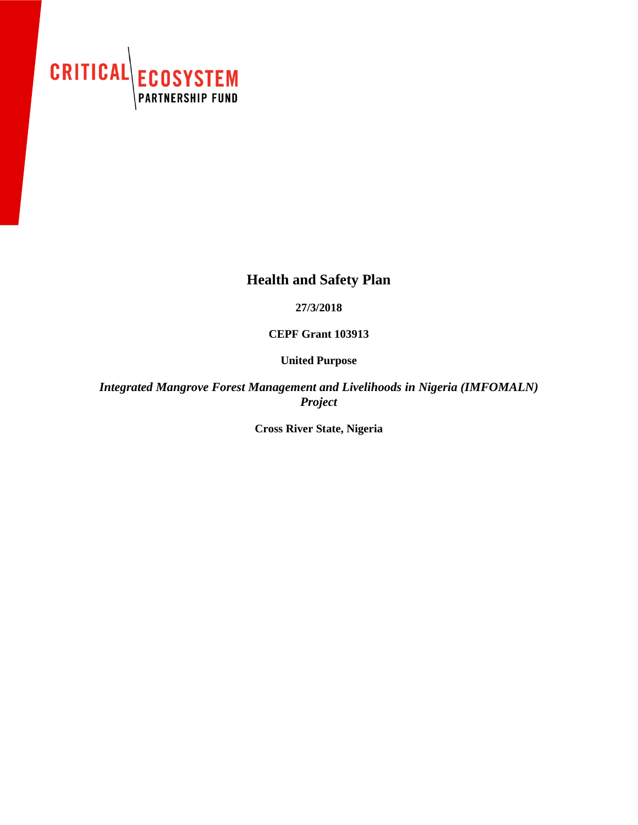

## **Health and Safety Plan**

**27/3/2018**

**CEPF Grant 103913**

**United Purpose**

*Integrated Mangrove Forest Management and Livelihoods in Nigeria (IMFOMALN) Project*

**Cross River State, Nigeria**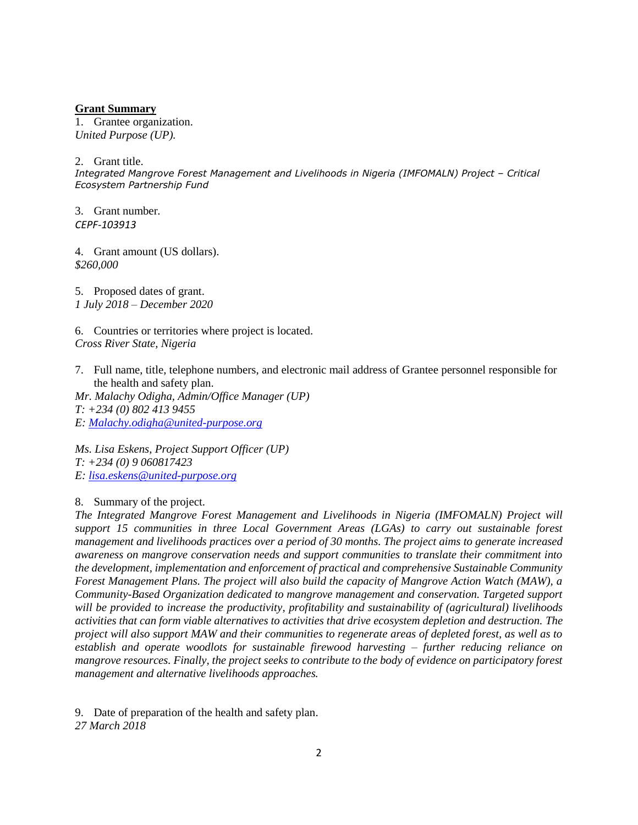## **Grant Summary**

1. Grantee organization. *United Purpose (UP).*

2. Grant title.

*Integrated Mangrove Forest Management and Livelihoods in Nigeria (IMFOMALN) Project – Critical Ecosystem Partnership Fund*

3. Grant number*. CEPF-103913*

4. Grant amount (US dollars). *\$260,000*

5. Proposed dates of grant. *1 July 2018 – December 2020*

6. Countries or territories where project is located. *Cross River State, Nigeria*

7. Full name, title, telephone numbers, and electronic mail address of Grantee personnel responsible for the health and safety plan.

*Mr. Malachy Odigha, Admin/Office Manager (UP) T: +234 (0) 802 413 9455 E: [Malachy.odigha@united-purpose.org](mailto:Malachy.odigha@united-purpose.org)*

*Ms. Lisa Eskens, Project Support Officer (UP) T: +234 (0) 9 060817423 E: [lisa.eskens@united-purpose.org](mailto:lisa.eskens@united-purpose.org)*

8. Summary of the project.

*The Integrated Mangrove Forest Management and Livelihoods in Nigeria (IMFOMALN) Project will support 15 communities in three Local Government Areas (LGAs) to carry out sustainable forest management and livelihoods practices over a period of 30 months. The project aims to generate increased awareness on mangrove conservation needs and support communities to translate their commitment into the development, implementation and enforcement of practical and comprehensive Sustainable Community Forest Management Plans. The project will also build the capacity of Mangrove Action Watch (MAW), a Community-Based Organization dedicated to mangrove management and conservation. Targeted support will be provided to increase the productivity, profitability and sustainability of (agricultural) livelihoods activities that can form viable alternatives to activities that drive ecosystem depletion and destruction. The project will also support MAW and their communities to regenerate areas of depleted forest, as well as to establish and operate woodlots for sustainable firewood harvesting – further reducing reliance on mangrove resources. Finally, the project seeks to contribute to the body of evidence on participatory forest management and alternative livelihoods approaches.*

9. Date of preparation of the health and safety plan. *27 March 2018*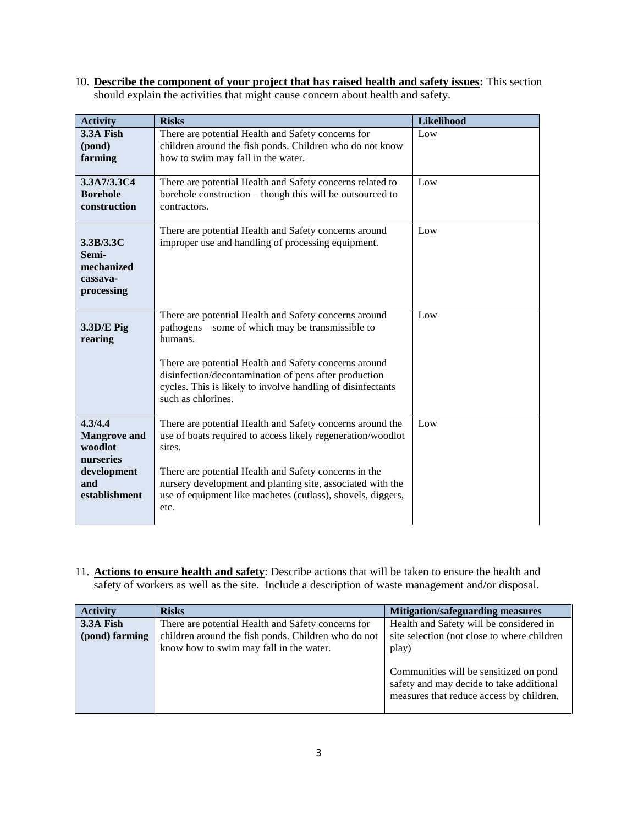10. **Describe the component of your project that has raised health and safety issues:** This section should explain the activities that might cause concern about health and safety.

| <b>Activity</b>                                                                               | <b>Risks</b>                                                                                                                                                                                                                                                                                                                     | Likelihood |
|-----------------------------------------------------------------------------------------------|----------------------------------------------------------------------------------------------------------------------------------------------------------------------------------------------------------------------------------------------------------------------------------------------------------------------------------|------------|
| 3.3A Fish<br>(pond)<br>farming                                                                | There are potential Health and Safety concerns for<br>children around the fish ponds. Children who do not know<br>how to swim may fall in the water.                                                                                                                                                                             | Low        |
| 3.3A7/3.3C4<br><b>Borehole</b><br>construction                                                | There are potential Health and Safety concerns related to<br>borehole construction - though this will be outsourced to<br>contractors.                                                                                                                                                                                           | Low        |
| 3.3B/3.3C<br>Semi-<br>mechanized<br>cassava-<br>processing                                    | There are potential Health and Safety concerns around<br>improper use and handling of processing equipment.                                                                                                                                                                                                                      | Low        |
| $3.3D/E$ Pig<br>rearing                                                                       | There are potential Health and Safety concerns around<br>pathogens – some of which may be transmissible to<br>humans.<br>There are potential Health and Safety concerns around<br>disinfection/decontamination of pens after production<br>cycles. This is likely to involve handling of disinfectants<br>such as chlorines.     | Low        |
| 4.3/4.4<br><b>Mangrove</b> and<br>woodlot<br>nurseries<br>development<br>and<br>establishment | There are potential Health and Safety concerns around the<br>use of boats required to access likely regeneration/woodlot<br>sites.<br>There are potential Health and Safety concerns in the<br>nursery development and planting site, associated with the<br>use of equipment like machetes (cutlass), shovels, diggers,<br>etc. | Low        |

11. **Actions to ensure health and safety**: Describe actions that will be taken to ensure the health and safety of workers as well as the site. Include a description of waste management and/or disposal.

| <b>Activity</b> | <b>Risks</b>                                        | <b>Mitigation/safeguarding measures</b>                                                                                        |
|-----------------|-----------------------------------------------------|--------------------------------------------------------------------------------------------------------------------------------|
| 3.3A Fish       | There are potential Health and Safety concerns for  | Health and Safety will be considered in                                                                                        |
| (pond) farming  | children around the fish ponds. Children who do not | site selection (not close to where children                                                                                    |
|                 | know how to swim may fall in the water.             | play)                                                                                                                          |
|                 |                                                     | Communities will be sensitized on pond<br>safety and may decide to take additional<br>measures that reduce access by children. |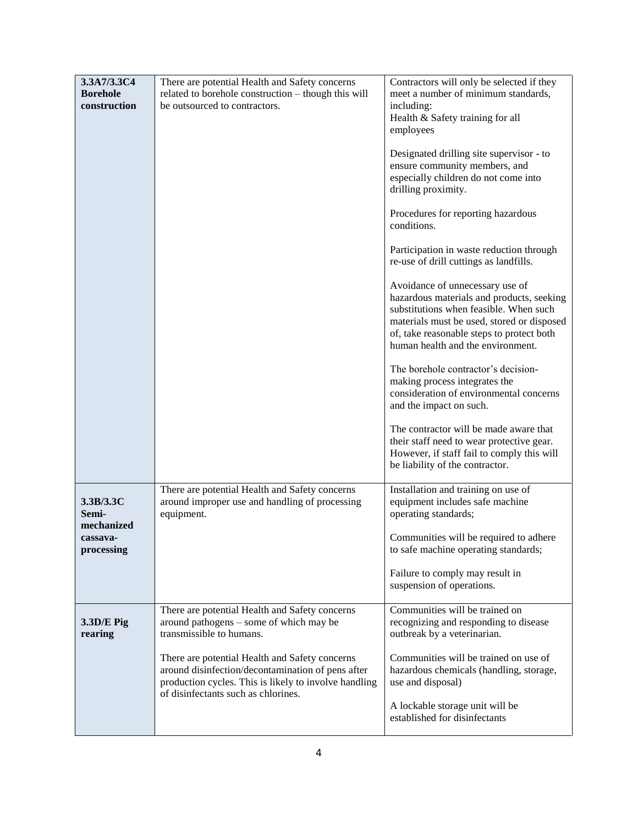| 3.3A7/3.3C4                                                | There are potential Health and Safety concerns                                                                                                                                                      | Contractors will only be selected if they                                                                                                                                                                                                              |
|------------------------------------------------------------|-----------------------------------------------------------------------------------------------------------------------------------------------------------------------------------------------------|--------------------------------------------------------------------------------------------------------------------------------------------------------------------------------------------------------------------------------------------------------|
| <b>Borehole</b><br>construction                            | related to borehole construction - though this will<br>be outsourced to contractors.                                                                                                                | meet a number of minimum standards,<br>including:<br>Health & Safety training for all<br>employees                                                                                                                                                     |
|                                                            |                                                                                                                                                                                                     | Designated drilling site supervisor - to<br>ensure community members, and<br>especially children do not come into<br>drilling proximity.                                                                                                               |
|                                                            |                                                                                                                                                                                                     | Procedures for reporting hazardous<br>conditions.                                                                                                                                                                                                      |
|                                                            |                                                                                                                                                                                                     | Participation in waste reduction through<br>re-use of drill cuttings as landfills.                                                                                                                                                                     |
|                                                            |                                                                                                                                                                                                     | Avoidance of unnecessary use of<br>hazardous materials and products, seeking<br>substitutions when feasible. When such<br>materials must be used, stored or disposed<br>of, take reasonable steps to protect both<br>human health and the environment. |
|                                                            |                                                                                                                                                                                                     | The borehole contractor's decision-<br>making process integrates the<br>consideration of environmental concerns<br>and the impact on such.                                                                                                             |
|                                                            |                                                                                                                                                                                                     | The contractor will be made aware that<br>their staff need to wear protective gear.<br>However, if staff fail to comply this will<br>be liability of the contractor.                                                                                   |
| 3.3B/3.3C<br>Semi-<br>mechanized<br>cassava-<br>processing | There are potential Health and Safety concerns<br>around improper use and handling of processing<br>equipment.                                                                                      | Installation and training on use of<br>equipment includes safe machine<br>operating standards;                                                                                                                                                         |
|                                                            |                                                                                                                                                                                                     | Communities will be required to adhere<br>to safe machine operating standards;                                                                                                                                                                         |
|                                                            |                                                                                                                                                                                                     | Failure to comply may result in<br>suspension of operations.                                                                                                                                                                                           |
| 3.3D/E Pig<br>rearing                                      | There are potential Health and Safety concerns<br>around pathogens – some of which may be<br>transmissible to humans.                                                                               | Communities will be trained on<br>recognizing and responding to disease<br>outbreak by a veterinarian.                                                                                                                                                 |
|                                                            | There are potential Health and Safety concerns<br>around disinfection/decontamination of pens after<br>production cycles. This is likely to involve handling<br>of disinfectants such as chlorines. | Communities will be trained on use of<br>hazardous chemicals (handling, storage,<br>use and disposal)                                                                                                                                                  |
|                                                            |                                                                                                                                                                                                     | A lockable storage unit will be<br>established for disinfectants                                                                                                                                                                                       |